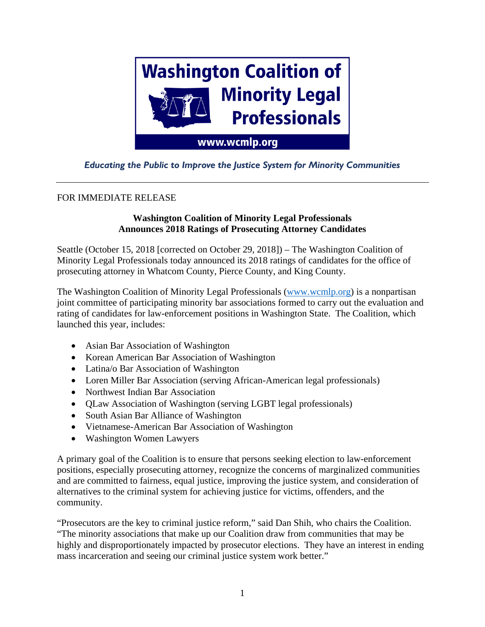

## *Educating the Public to Improve the Justice System for Minority Communities*

## FOR IMMEDIATE RELEASE

## **Washington Coalition of Minority Legal Professionals Announces 2018 Ratings of Prosecuting Attorney Candidates**

Seattle (October 15, 2018 [corrected on October 29, 2018]) – The Washington Coalition of Minority Legal Professionals today announced its 2018 ratings of candidates for the office of prosecuting attorney in Whatcom County, Pierce County, and King County.

The Washington Coalition of Minority Legal Professionals [\(www.wcmlp.org\)](http://www.wcmlp.org/) is a nonpartisan joint committee of participating minority bar associations formed to carry out the evaluation and rating of candidates for law-enforcement positions in Washington State. The Coalition, which launched this year, includes:

- Asian Bar Association of Washington
- Korean American Bar Association of Washington
- Latina/o Bar Association of Washington
- Loren Miller Bar Association (serving African-American legal professionals)
- Northwest Indian Bar Association
- QLaw Association of Washington (serving LGBT legal professionals)
- South Asian Bar Alliance of Washington
- Vietnamese-American Bar Association of Washington
- Washington Women Lawyers

A primary goal of the Coalition is to ensure that persons seeking election to law-enforcement positions, especially prosecuting attorney, recognize the concerns of marginalized communities and are committed to fairness, equal justice, improving the justice system, and consideration of alternatives to the criminal system for achieving justice for victims, offenders, and the community.

"Prosecutors are the key to criminal justice reform," said Dan Shih, who chairs the Coalition. "The minority associations that make up our Coalition draw from communities that may be highly and disproportionately impacted by prosecutor elections. They have an interest in ending mass incarceration and seeing our criminal justice system work better."